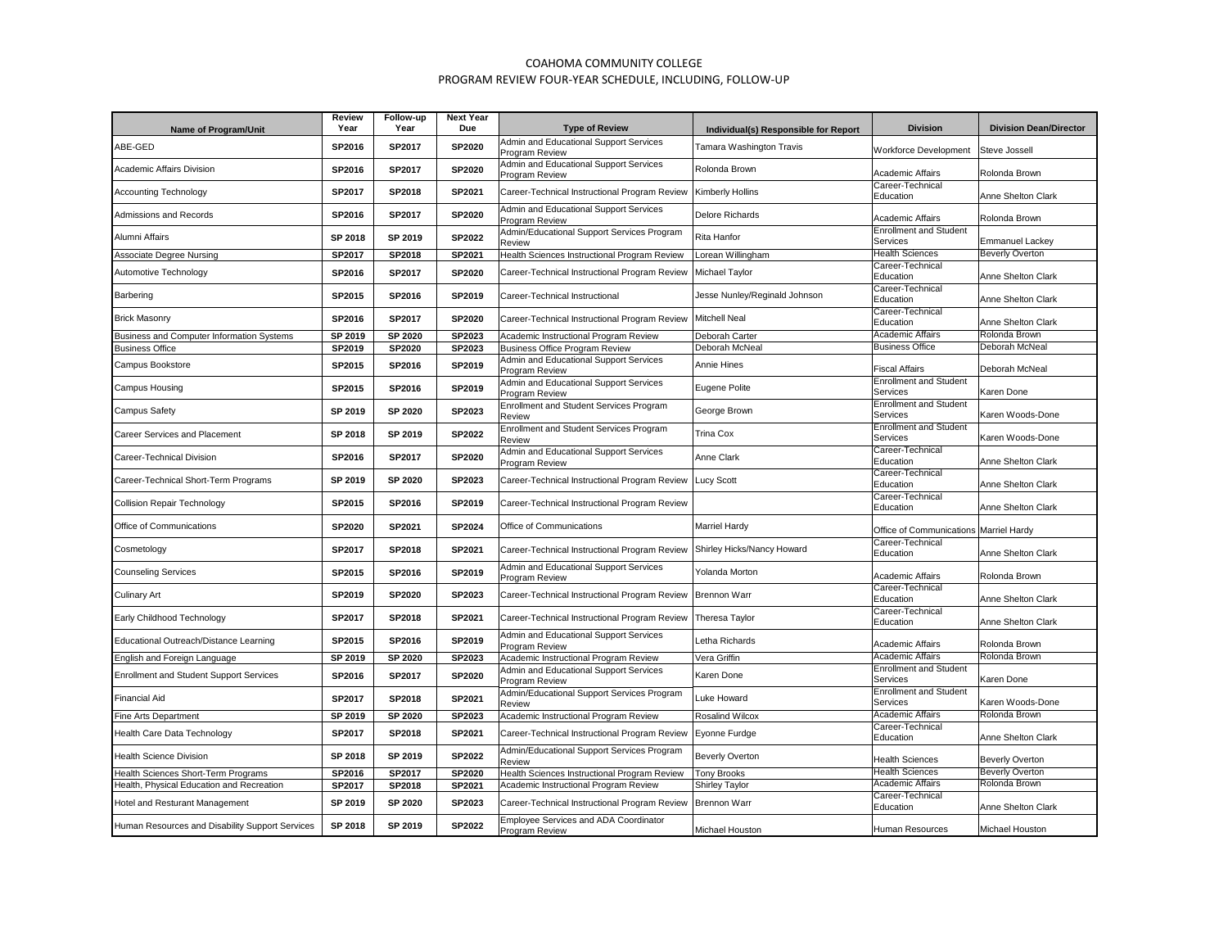## COAHOMA COMMUNITY COLLEGE PROGRAM REVIEW FOUR-YEAR SCHEDULE, INCLUDING, FOLLOW-UP

| <b>Name of Program/Unit</b>                     | Review<br>Year | Follow-up<br>Year | <b>Next Year</b><br>Due | <b>Type of Review</b>                                    | Individual(s) Responsible for Report | <b>Division</b>                           | <b>Division Dean/Director</b> |
|-------------------------------------------------|----------------|-------------------|-------------------------|----------------------------------------------------------|--------------------------------------|-------------------------------------------|-------------------------------|
| ABE-GED                                         | SP2016         | SP2017            | <b>SP2020</b>           | Admin and Educational Support Services<br>Program Review | Tamara Washington Travis             | Workforce Development                     | Steve Jossell                 |
| Academic Affairs Division                       | SP2016         | SP2017            | SP2020                  | Admin and Educational Support Services<br>Program Review | Rolonda Brown                        | Academic Affairs                          | Rolonda Brown                 |
| <b>Accounting Technology</b>                    | SP2017         | SP2018            | SP2021                  | Career-Technical Instructional Program Review            | Kimberly Hollins                     | Career-Technical<br>Education             | Anne Shelton Clark            |
| Admissions and Records                          | SP2016         | SP2017            | <b>SP2020</b>           | Admin and Educational Support Services<br>Program Review | Delore Richards                      | <b>Academic Affairs</b>                   | Rolonda Brown                 |
| Alumni Affairs                                  | SP 2018        | SP 2019           | SP2022                  | Admin/Educational Support Services Program<br>Review     | Rita Hanfor                          | <b>Enrollment and Student</b><br>Services | <b>Emmanuel Lackey</b>        |
| <b>Associate Degree Nursing</b>                 | SP2017         | SP2018            | SP2021                  | Health Sciences Instructional Program Review             | Lorean Willingham                    | <b>Health Sciences</b>                    | <b>Beverly Overton</b>        |
| Automotive Technology                           | SP2016         | SP2017            | <b>SP2020</b>           | Career-Technical Instructional Program Review            | Michael Taylor                       | Career-Technical<br>Education             | Anne Shelton Clark            |
| Barbering                                       | SP2015         | SP2016            | SP2019                  | Career-Technical Instructional                           | Jesse Nunley/Reginald Johnson        | Career-Technical<br>Education             | Anne Shelton Clark            |
| <b>Brick Masonry</b>                            | SP2016         | SP2017            | <b>SP2020</b>           | Career-Technical Instructional Program Review            | Mitchell Neal                        | Career-Technical<br>Education             | Anne Shelton Clark            |
| Business and Computer Information Systems       | SP 2019        | SP 2020           | SP2023                  | Academic Instructional Program Review                    | Deborah Carter                       | <b>Academic Affairs</b>                   | Rolonda Brown                 |
| <b>Business Office</b>                          | SP2019         | SP2020            | SP2023                  | <b>Business Office Program Review</b>                    | Deborah McNeal                       | <b>Business Office</b>                    | Deborah McNeal                |
| Campus Bookstore                                | SP2015         | SP2016            | SP2019                  | Admin and Educational Support Services<br>Program Review | Annie Hines                          | <b>Fiscal Affairs</b>                     | Deborah McNeal                |
| <b>Campus Housing</b>                           | SP2015         | SP2016            | SP2019                  | Admin and Educational Support Services<br>Program Review | Eugene Polite                        | <b>Enrollment and Student</b><br>Services | Karen Done                    |
| <b>Campus Safety</b>                            | SP 2019        | SP 2020           | SP2023                  | <b>Enrollment and Student Services Program</b><br>Review | George Brown                         | <b>Enrollment and Student</b><br>Services | Karen Woods-Done              |
| Career Services and Placement                   | SP 2018        | SP 2019           | <b>SP2022</b>           | <b>Enrollment and Student Services Program</b><br>Review | Trina Cox                            | <b>Enrollment and Student</b><br>Services | Karen Woods-Done              |
| Career-Technical Division                       | SP2016         | SP2017            | <b>SP2020</b>           | Admin and Educational Support Services<br>Program Review | Anne Clark                           | Career-Technical<br>Education             | Anne Shelton Clark            |
| Career-Technical Short-Term Programs            | SP 2019        | SP 2020           | SP2023                  | Career-Technical Instructional Program Review            | <b>Lucy Scott</b>                    | Career-Technical<br>Education             | Anne Shelton Clark            |
| <b>Collision Repair Technology</b>              | SP2015         | SP2016            | SP2019                  | Career-Technical Instructional Program Review            |                                      | Career-Technical<br>Education             | Anne Shelton Clark            |
| Office of Communications                        | SP2020         | SP2021            | SP2024                  | Office of Communications                                 | Marriel Hardy                        | Office of Communications Marriel Hardy    |                               |
| Cosmetology                                     | <b>SP2017</b>  | SP2018            | SP2021                  | Career-Technical Instructional Program Review            | Shirley Hicks/Nancy Howard           | Career-Technical<br>Education             | Anne Shelton Clark            |
| <b>Counseling Services</b>                      | SP2015         | SP2016            | SP2019                  | Admin and Educational Support Services<br>Program Review | Yolanda Morton                       | <b>Academic Affairs</b>                   | Rolonda Brown                 |
| <b>Culinary Art</b>                             | SP2019         | SP2020            | SP2023                  | Career-Technical Instructional Program Review            | <b>Brennon Warr</b>                  | Career-Technical<br>Education             | Anne Shelton Clark            |
| Early Childhood Technology                      | <b>SP2017</b>  | SP2018            | SP2021                  | Career-Technical Instructional Program Review            | Theresa Taylor                       | Career-Technical<br>Education             | Anne Shelton Clark            |
| Educational Outreach/Distance Learning          | SP2015         | SP2016            | SP2019                  | Admin and Educational Support Services<br>Program Review | Letha Richards                       | <b>Academic Affairs</b>                   | Rolonda Brown                 |
| English and Foreign Language                    | SP 2019        | SP 2020           | SP2023                  | Academic Instructional Program Review                    | Vera Griffin                         | <b>Academic Affairs</b>                   | Rolonda Brown                 |
| <b>Enrollment and Student Support Services</b>  | SP2016         | SP2017            | <b>SP2020</b>           | Admin and Educational Support Services<br>Program Review | Karen Done                           | <b>Enrollment and Student</b><br>Services | Karen Done                    |
| <b>Financial Aid</b>                            | SP2017         | SP2018            | SP2021                  | Admin/Educational Support Services Program<br>Review     | uke Howard                           | <b>Enrollment and Student</b><br>Services | Karen Woods-Done              |
| Fine Arts Department                            | SP 2019        | SP 2020           | SP2023                  | Academic Instructional Program Review                    | Rosalind Wilcox                      | <b>Academic Affairs</b>                   | Rolonda Brown                 |
| Health Care Data Technology                     | SP2017         | <b>SP2018</b>     | SP2021                  | Career-Technical Instructional Program Review            | Eyonne Furdge                        | Career-Technical<br>Education             | Anne Shelton Clark            |
| <b>Health Science Division</b>                  | SP 2018        | SP 2019           | SP2022                  | Admin/Educational Support Services Program<br>Review     | <b>Beverly Overton</b>               | <b>Health Sciences</b>                    | <b>Beverly Overton</b>        |
| Health Sciences Short-Term Programs             | SP2016         | SP2017            | SP2020                  | Health Sciences Instructional Program Review             | <b>Tony Brooks</b>                   | <b>Health Sciences</b>                    | <b>Beverly Overton</b>        |
| Health, Physical Education and Recreation       | SP2017         | <b>SP2018</b>     | SP2021                  | Academic Instructional Program Review                    | Shirley Taylor                       | <b>Academic Affairs</b>                   | Rolonda Brown                 |
| Hotel and Resturant Management                  | SP 2019        | SP 2020           | SP2023                  | Career-Technical Instructional Program Review            | Brennon Warr                         | Career-Technical<br>Education             | Anne Shelton Clark            |
| Human Resources and Disability Support Services | SP 2018        | SP 2019           | SP2022                  | Employee Services and ADA Coordinator<br>Program Review  | Michael Houston                      | <b>Human Resources</b>                    | Michael Houston               |